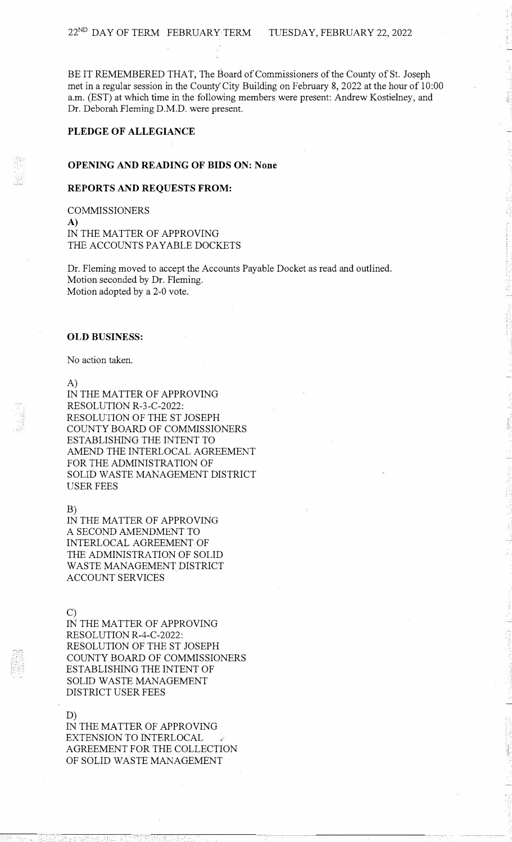BE IT REMEMBERED THAT, The Board of Commissioners of the County of St. Joseph met in a regular session in the County City Building on February 8, 2022 at the hour of 10:00 a.m. (EST) at which time in the following members were present: Andrew Kostielney, and Dr. Deborah Fleming D.M.D. were present.

# **PLEDGE OF ALLEGIANCE**

### **OPENING AND READING OF BIDS ON: None**

### **REPORTS AND REQUESTS FROM:**

COMMISSIONERS

**A)**  IN THE MATTER OF APPROVING THE ACCOUNTS PAYABLE DOCKETS

Dr. Fleming moved to accept the Accounts Payable Docket as read and outlined. Motion seconded by Dr. Fleming. Motion adopted by a 2-0 vote.

# **OLD BUSINESS:**

No action taken.

A)

IN THE MATTER OF APPROVING RESOLUTION R-3-C-2022: RESOLUTION OF THE ST JOSEPH COUNTY BOARD OF COMMISSIONERS ESTABLISHING THE INTENT TO AMEND THE INTERLOCAL AGREEMENT FOR THE ADMINISTRATION OF SOLID WASTE MANAGEMENT DISTRICT USER FEES

B)

IN THE MATTER OF APPROVING A SECOND AMENDMENT TO INTERLOCAL AGREEMENT OF THE ADMINISTRATION OF SOLID WASTE MANAGEMENT DISTRICT ACCOUNT SERVICES

C)

IN THE MATTER OF APPROVING RESOLUTION R-4-C-2022: RESOLUTION OF THE ST JOSEPH COUNTY BOARD OF COMMISSIONERS ESTABLISHING THE INTENT OF SOLID WASTE MANAGEMENT DISTRICT USER FEES

#### D)

IN THE MATTER OF APPROVING EXTENSION TO INTERLOCAL AGREEMENT FOR THE COLLECTION OF SOLID WASTE MANAGEMENT